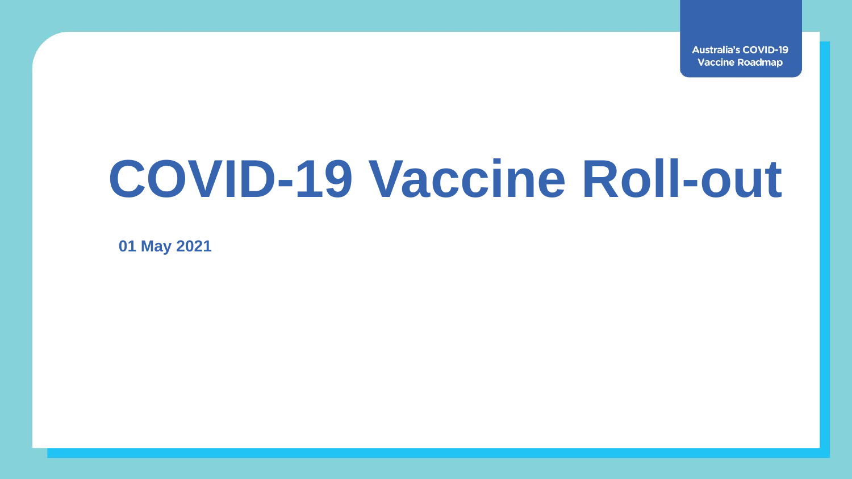**Australia's COVID-19 Vaccine Roadmap** 

# **COVID-19 Vaccine Roll-out**

**01 May 2021**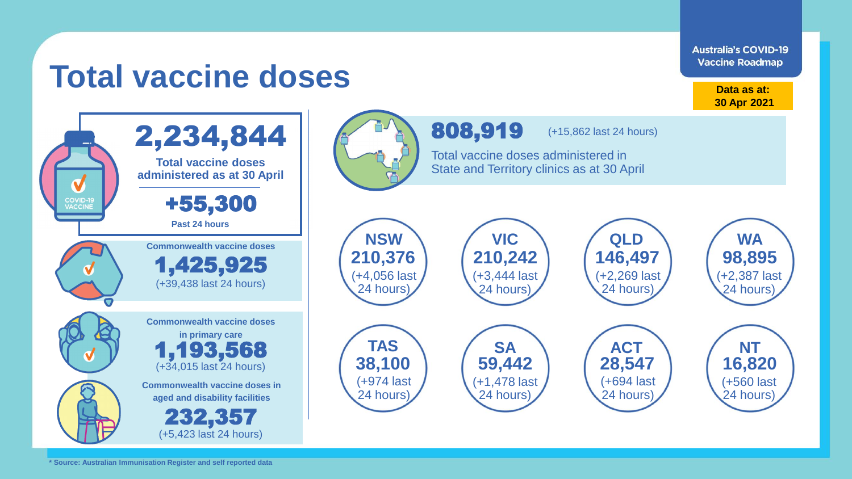**Australia's COVID-19 Vaccine Roadmap Data as at: 30 Apr 2021** 808,919 (+15,862 last 24 hours) Total vaccine doses administered in State and Territory clinics as at 30 April

> (+2,269 last 24 hours)

(+694 last 24 hours)

(+2,387 last 24 hours)

(+560 last 24 hours)

**Commonwealth vaccine doses in Commonwealth vaccine doses VIC VIC VIC QLD VIC WA TAS SA ACT NT NSW Commonwealth vaccine doses in primary care** 1,425,925 1,193,568 (+39,438 last 24 hours) (+34,015 last 24 hours) **210,376 210,242 146,497 98,895 38,100 59,442 28,547 16,820** (+4,056 last 24 hours) (+3,444 last 24 hours) (+1,478 last (+974 last

24 hours)

24 hours)

## **Total vaccine doses**

2,234,844

**Total vaccine doses administered as at 30 April**

+55,300

**Past 24 hours**

**COVID-19**<br>VACCINE

V

**\* Source: Australian Immunisation Register and self reported data**

**aged and disability facilities**

232,357

(+5,423 last 24 hours)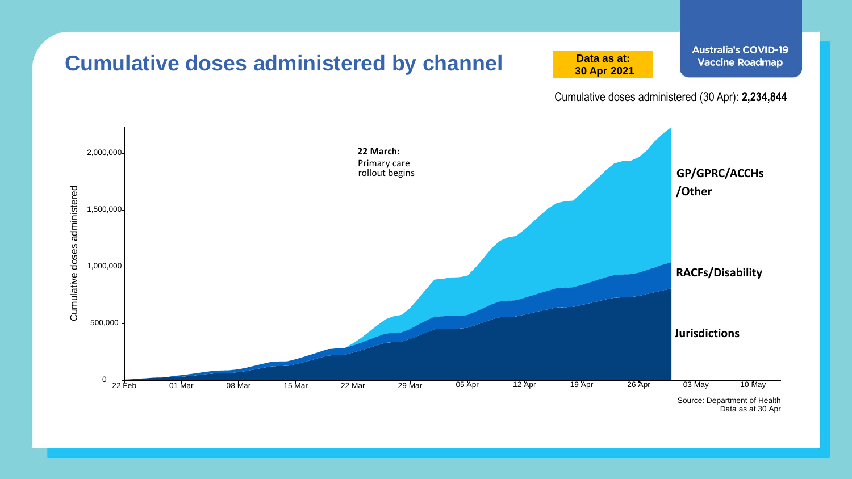

Data as at 30 Apr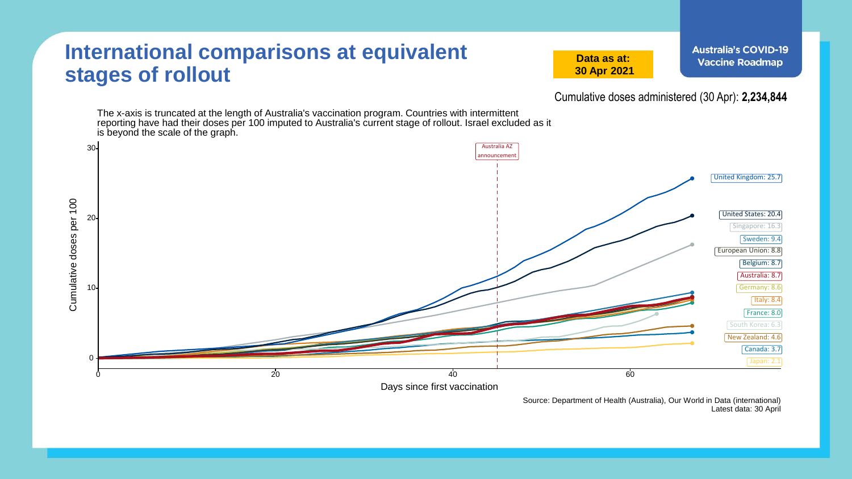#### **International comparisons at equivalent stages of rollout**

**Data as at: 30 Apr 2021**

Cumulative doses administered (30 Apr): **2,234,844**

The x-axis is truncated at the length of Australia's vaccination program. Countries with intermittent reporting have had their doses per 100 imputed to Australia's current stage of rollout. Israel excluded as it is beyond the scale of the graph.



Source: Department of Health (Australia), Our World in Data (international) Latest data: 30 April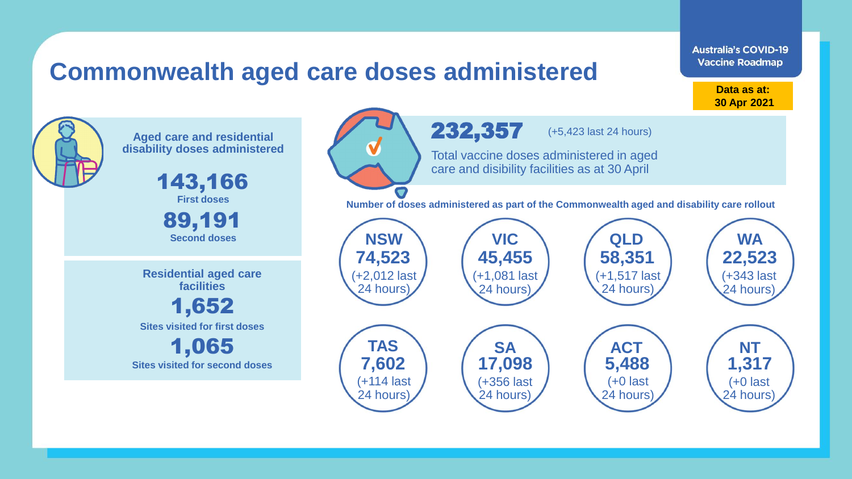### **Commonwealth aged care doses administered**

**Data as at: 30 Apr 2021**